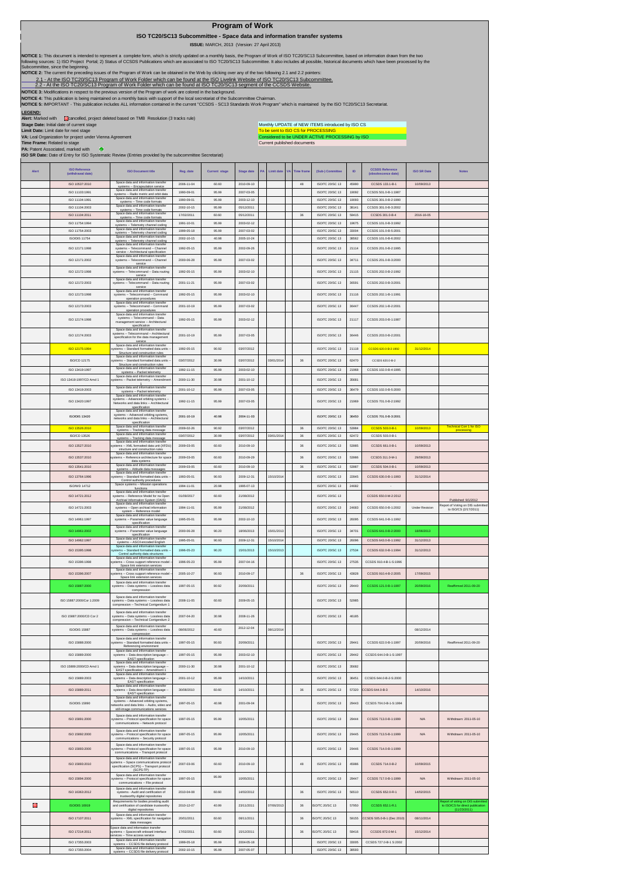|                |                                                                                                                                                                                | ISO TC20/SC13 Subcommittee - Space data and information transfer systems                                                                                                                                                                                                                                                                                                                                                                          |                          |                                             | <b>Program of Work</b>   |    |                          |                             |                                                                                                                                            |                |                                               |                          |                                                               |
|----------------|--------------------------------------------------------------------------------------------------------------------------------------------------------------------------------|---------------------------------------------------------------------------------------------------------------------------------------------------------------------------------------------------------------------------------------------------------------------------------------------------------------------------------------------------------------------------------------------------------------------------------------------------|--------------------------|---------------------------------------------|--------------------------|----|--------------------------|-----------------------------|--------------------------------------------------------------------------------------------------------------------------------------------|----------------|-----------------------------------------------|--------------------------|---------------------------------------------------------------|
|                |                                                                                                                                                                                | NOTICE 1: This document is intended to represent a complete form, which is strictly updated on a monthly basis, the Program of Work of ISO TC20/SC13 Subcommittee, based on information drawn from the two                                                                                                                                                                                                                                        |                          | ISSUE: MARCH, 2013 (Version: 27 April 2013) |                          |    |                          |                             |                                                                                                                                            |                |                                               |                          |                                                               |
|                | Subcommittee, since the beginning.                                                                                                                                             | following sources: 1) ISO Project Portal; 2) Status of CCSDS Publications which are associated to ISO TC20/SC13 Subcommittee. It also includes all possible, historical documents which have been processed by the                                                                                                                                                                                                                                |                          |                                             |                          |    |                          |                             |                                                                                                                                            |                |                                               |                          |                                                               |
|                |                                                                                                                                                                                | NOTICE 2: The current the preceding issues of the Program of Work can be obtained in the Web by clicking over any of the two following 2.1 and 2.2 pointers:<br>2.1 - At the ISO TC20/SC13 Program of Work Folder which can be found at the ISO Livelink Website of ISO TC20/SC13 Subcommittee.<br>2.2 - At the ISO TC20/SC13 Program of Work Folder which can be found at ISO TC20/SC13 segment of the CCSDS Website.                            |                          |                                             |                          |    |                          |                             |                                                                                                                                            |                |                                               |                          |                                                               |
| <b>LEGEND:</b> |                                                                                                                                                                                | NOTICE 3: Modifications in respect to the previous version of the Program of work are colored in the background.<br>NOTICE 4: This publication is being maintained on a monthly basis with support of the local secretariat of the Subcommittee Chairman.<br>NOTICE 5: IMPORTANT - This publication includes ALL information contained in the current "CCSDS - SC13 Standards Work Program" which is maintained by the ISO TC20/SC13 Secretariat. |                          |                                             |                          |    |                          |                             |                                                                                                                                            |                |                                               |                          |                                                               |
|                | Stage Date: Initial date of current stage<br>Limit Date: Limit date for next stage<br>VA: Leal Organization for project under Vienna Agreement<br>Time Frame: Related to stage | Alert: Marked with Chancelled, project deleted based on TMB Resolution (3 tracks rule)                                                                                                                                                                                                                                                                                                                                                            |                          |                                             |                          |    |                          | Current published documents | Monthly UPDATE of NEW ITEMS introduced by ISO CS<br>To be sent to ISO CS for PROCESSING<br>Considered to be UNDER ACTIVE PROCESSING by ISO |                |                                               |                          |                                                               |
|                | PA: Patent Associated, marked with<br>ಾ                                                                                                                                        | ISO SR Date: Date of Entry for ISO Systematic Review (Entries provided by the subcommittee Secretariat)                                                                                                                                                                                                                                                                                                                                           |                          |                                             |                          |    |                          |                             |                                                                                                                                            |                |                                               |                          |                                                               |
| Alert          | <b>ISO Reference</b><br>(withdrawal date)                                                                                                                                      | <b>ISO Document title</b>                                                                                                                                                                                                                                                                                                                                                                                                                         | Reg. date                | Current stage                               | Stage date               | PA | Limit date               | <b>Time fram</b>            | (Sub-) Committee                                                                                                                           | <b>ID</b>      | <b>CCSDS Reference</b><br>(obsolescence date) | <b>ISO SR Date</b>       | <b>Notes</b>                                                  |
|                | ISO 10537:2010<br>ISO 11103:1991                                                                                                                                               | Space data and information transfer<br>systems -- Encapsulation service<br>Space data and information transfer                                                                                                                                                                                                                                                                                                                                    | 2006-11-04<br>1990-09-01 | 60.60<br>95.99                              | 2010-09-10<br>2007-03-05 |    |                          | 48                          | <b>ISO/TC 20/SC 13</b><br>ISO/TC 20/SC 13                                                                                                  | 45990<br>19092 | CCSDS 133.1-B-1<br>CCSDS 501.0-B-1:1987       | 10/09/2013               |                                                               |
|                | ISO 11104:1991                                                                                                                                                                 | systems -- Radio metric and orbit data<br>Space data and information transfer<br>systems -- Time code formats                                                                                                                                                                                                                                                                                                                                     | 1990-09-01               | 95.99                                       | 2003-12-10               |    |                          |                             | <b>ISO/TC 20/SC 13</b>                                                                                                                     | 19093          | CCSDS 301.0-B-2:1990                          |                          |                                                               |
|                | ISO 11104:2003<br>ISO 11104:2011                                                                                                                                               | Space data and information transfer<br>systems -- Time code formats<br>Space data and information transfer<br>systems -- Time code formats                                                                                                                                                                                                                                                                                                        | 2002-10-15<br>17/02/2011 | 95.99<br>60.60                              | 05/12/2011<br>05/12/2011 |    |                          | 36                          | ISO/TC 20/SC 13<br>ISO/TC 20/SC 13                                                                                                         | 38141<br>59415 | CCSDS 301.0-B-3:2002<br>CCSDS 301.0-B-4       | 2016-16-05               |                                                               |
|                | ISO 11754:1994                                                                                                                                                                 | Space data and in<br>systems -- Telemetry channel coding                                                                                                                                                                                                                                                                                                                                                                                          | 1991-10-01               | 95.99                                       | 2003-02-12               |    |                          |                             | ISO/TC 20/SC 13                                                                                                                            | 19675          | CCSDS 101.0-B-3:1992                          |                          |                                                               |
|                | ISO 11754:2003<br>ISO/DIS 11754                                                                                                                                                | Space data and infor<br>on tra<br>systems -- Telemetry channel coding<br>Space data and inf                                                                                                                                                                                                                                                                                                                                                       | 1999-05-18<br>2002-10-15 | 95.99<br>40.98                              | 2007-03-02<br>2005-10-24 |    |                          |                             | ISO/TC 20/SC 13<br>ISO/TC 20/SC 13                                                                                                         | 33004<br>38562 | CCSDS 101.0-B-5:2001<br>CCSDS 101.0-B-6:2002  |                          |                                                               |
|                | ISO 12171-1998                                                                                                                                                                 | systems -- Telemetry channel coding<br>Space data and information transfer<br>systems -- Telecommand -- Channel                                                                                                                                                                                                                                                                                                                                   | 1992-05-15               | 95.99                                       | 2002-09-26               |    |                          |                             | ISO/TC: 20/SC: 13                                                                                                                          | 21114          | CCSDS 201 0-B-2-1995                          |                          |                                                               |
|                | ISO 12171:2002                                                                                                                                                                 | service -- Architectural specification<br>Space data and information transfer<br>systems -- Telecommand -- Channel                                                                                                                                                                                                                                                                                                                                | 2000-06-28               | 95.99                                       | 2007-03-02               |    |                          |                             | ISO/TC 20/SC 13                                                                                                                            | 34711          | CCSDS 201.0-B-3:2000                          |                          |                                                               |
|                | ISO 12172:1998                                                                                                                                                                 | service<br>Space data and information transfer<br>systems -- Telecommand -- Data routing                                                                                                                                                                                                                                                                                                                                                          | 1992-05-15               | 95.99                                       | 2003-02-10               |    |                          |                             | ISO/TC 20/SC 13                                                                                                                            | 21115          | CCSDS 202.0-B-2:1992                          |                          |                                                               |
|                | ISO 12172:2003                                                                                                                                                                 | service<br>Space data and information transfer<br>systems -- Telecommand -- Data routing                                                                                                                                                                                                                                                                                                                                                          | 2001-11-21               | 95.99                                       | 2007-03-02               |    |                          |                             | ISO/TC 20/SC 13                                                                                                                            | 36591          | CCSDS 202.0-B-3:2001                          |                          |                                                               |
|                | ISO 12173:1998                                                                                                                                                                 | service<br>Space data and information transfer<br>systems -- Telecommand -- Command                                                                                                                                                                                                                                                                                                                                                               | 1992-05-15               | 95.99                                       | 2003-02-10               |    |                          |                             | ISO/TC 20/SC 13                                                                                                                            | 21116          | CCSDS 202.1-B-1:1991                          |                          |                                                               |
|                | ISO 12173:2003                                                                                                                                                                 | operation procedures<br>Space data and information transfer<br>systems -- Telecommand -- Command                                                                                                                                                                                                                                                                                                                                                  | 2001-10-19               | 95.99                                       | 2007-03-02               |    |                          |                             | ISO/TC 20/SC 13                                                                                                                            | 36447          | CCSDS 202.1-B-2:2001                          |                          |                                                               |
|                | ISO 12174:1998                                                                                                                                                                 | operation procedures<br>Space data and information transfer<br>systems -- Telecommand -- Data                                                                                                                                                                                                                                                                                                                                                     | 1992-05-15               | 95.99                                       | 2003-02-12               |    |                          |                             | ISO/TC 20/SC 13                                                                                                                            | 21117          | CCSDS 203.0-B-1:1987                          |                          |                                                               |
|                |                                                                                                                                                                                | management service -- Architectural<br>specification<br>Space data and information transfer                                                                                                                                                                                                                                                                                                                                                       |                          |                                             |                          |    |                          |                             |                                                                                                                                            |                |                                               |                          |                                                               |
|                | ISO 12174:2003                                                                                                                                                                 | systems -- Telecommand -- Architectura<br>specification for the data management<br>service                                                                                                                                                                                                                                                                                                                                                        | 2001-10-19               | 95.99                                       | 2007-03-05               |    |                          |                             | ISO/TC 20/SC 13                                                                                                                            | 36446          | CCSDS 203.0-B-2:2001                          |                          |                                                               |
|                | ISO 12175:1994                                                                                                                                                                 | Space data and information transfer<br>ystems -- Standard formatted data units<br>Structure and construction rules                                                                                                                                                                                                                                                                                                                                | 1992-05-15               | 90.92                                       | 03/07/2012               |    |                          |                             | ISO/TC 20/SC 13                                                                                                                            | 21118          | CCSDS 620.0-B-2:1992                          | 31/12/2014               |                                                               |
|                | <b>ISO/CD 12175</b>                                                                                                                                                            | Space data and information transfer<br>stems -- Standard formatted data units -<br>Structure and construction rules                                                                                                                                                                                                                                                                                                                               | 03/07/2012               | 30.99                                       | 03/07/2012               |    | 03/01/201-               | 36                          | <b>ISO/TC 20/SC 13</b>                                                                                                                     | 62470          | CCSDS 620.0-B-2                               |                          |                                                               |
|                | ISO 13419:1997                                                                                                                                                                 | Space data and information transfer<br>systems - Packet telemetry<br>Space data and information transfer                                                                                                                                                                                                                                                                                                                                          | 1992-11-15               | 95.99                                       | 2003-02-10               |    |                          |                             | <b>ISO/TC 20/SC 13</b>                                                                                                                     | 21968          | CCSDS 102.0-B-4:1995                          |                          |                                                               |
|                | ISO 13419:1997/CD Amd 1<br>ISO 13419:2003                                                                                                                                      | stems -- Packet telemetry -- Amendmen<br>Space data and information transfer                                                                                                                                                                                                                                                                                                                                                                      | 2000-11-30<br>2001-10-12 | 30.98<br>95.99                              | 2001-10-12<br>2007-03-05 |    |                          |                             | ISO/TC 20/SC 13<br>ISO/TC 20/SC 13                                                                                                         | 35681<br>36479 | CCSDS 102.0-B-5:2000                          |                          |                                                               |
|                | ISO 13420:1997                                                                                                                                                                 | systems -- Packet telemetry<br>Space data and information transfer<br>systems -- Advanced orbiting systems                                                                                                                                                                                                                                                                                                                                        | 1992-11-15               | 95.99                                       | 2007-03-05               |    |                          |                             | <b>ISO/TC 20/SC 13</b>                                                                                                                     | 21969          | CCSDS 701.0-B-2:1992                          |                          |                                                               |
|                |                                                                                                                                                                                | Networks and data links -- Architectural<br>specification<br>Space data and information transfer                                                                                                                                                                                                                                                                                                                                                  |                          |                                             |                          |    |                          |                             |                                                                                                                                            |                |                                               |                          |                                                               |
|                | ISO/DIS 13420                                                                                                                                                                  | systems -- Advanced orbiting systems.<br>networks and data links -- Architectural<br>specification                                                                                                                                                                                                                                                                                                                                                | 2001-10-19               | 40.98                                       | 2004-11-03               |    |                          |                             | ISO/TC 20/SC 13                                                                                                                            | 36450          | CCSDS 701.0-B-3:2001                          |                          |                                                               |
|                | ISO 13526:2010<br>ISO/CD 13526                                                                                                                                                 | Space data and information transfer<br>systems -- Tracking data message<br>Space data and information transfer                                                                                                                                                                                                                                                                                                                                    | 2009-02-26<br>03/07/2012 | 90.92<br>30.99                              | 03/07/2012<br>03/07/2012 |    | 03/01/201-               | 36<br>36                    | <b>ISO/TC 20/SC 13</b><br>ISO/TC 20/SC 13                                                                                                  | 53984<br>62472 | CCSDS 503.0-B-1<br>CCSDS 503.0-B-1            | 10/09/2013               | <b>Technical Corr 1 for ISO</b><br>processing                 |
|                | ISO 13527:2010                                                                                                                                                                 | systems -- Tracking data message<br>Space data and information to<br>stems -- XML formatted data unit (XFDU                                                                                                                                                                                                                                                                                                                                       | 2009-03-05               | 60.60                                       | 2010-09-10               |    |                          | 36                          | ISO/TC 20/SC 13                                                                                                                            | 53985          | CCSDS 661.0-B-1                               | 10/09/2013               |                                                               |
|                | ISO 13537-2010                                                                                                                                                                 | structure and construction rules<br>Space data and information transfer<br>stems -- Reference architecture for space                                                                                                                                                                                                                                                                                                                              | 2009-03-05               | 60.60                                       | 2010-09-29               |    |                          | 36                          | ISO/TC: 20/SC: 13                                                                                                                          | 53986          | CCSDS 311.0-M-1                               | 29/09/2013               |                                                               |
|                | ISO 13541:2010                                                                                                                                                                 | data systems<br>Space data and information transfer<br>ns -- Attitude data messages                                                                                                                                                                                                                                                                                                                                                               | 2009-03-05               | 60.60                                       | 2010-09-10               |    |                          | 36                          | ISO/TC: 20/SC: 13                                                                                                                          | 53987          | CCSDS 504 0-B-1                               | 10/09/2013               |                                                               |
|                | ISO 13764:1996                                                                                                                                                                 | Space data and information transfer<br>ystems -- Standard formatted data units<br>Control authority procedures                                                                                                                                                                                                                                                                                                                                    | 1993-05-01               | 90.93                                       | 2009-12-31               |    | 15/10/2014               |                             | ISO/TC 20/SC 13                                                                                                                            | 22845          | CCSDS 630.0-B-1:1993                          | 31/12/2014               |                                                               |
|                | ISO/WD 14712                                                                                                                                                                   | Space systems -- Mission operations<br>functions<br>Space data and information transfer                                                                                                                                                                                                                                                                                                                                                           | 1994-11-01               | 20.98                                       | 1995-07-13               |    |                          |                             | ISO/TC 20/SC 13                                                                                                                            | 24682          |                                               |                          |                                                               |
|                | ISO 14721:2012                                                                                                                                                                 | systems -- Reference Model for na Open<br>Archival Information System (OAIS)<br>Space data and information transfer                                                                                                                                                                                                                                                                                                                               | 01/09/2017               | 60.60                                       | 21/08/2012               |    |                          |                             | <b>ISO/TC 20/SC 13</b>                                                                                                                     |                | CCSDS 650.0-M-2:2012                          |                          | ublished: 9/1/2012<br>eport of Voting on DIS submitted        |
|                | ISO 14721:2003                                                                                                                                                                 | systems - Open archival information<br>system -- Reference model<br>Space data and information transfer<br>systems -- Parameter value language                                                                                                                                                                                                                                                                                                    | 1994-11-01               | 95.99                                       | 21/08/2012               |    |                          |                             | ISO/TC 20/SC 13                                                                                                                            | 24683          | CCSDS 650.0-B-1:2002                          | <b>Under Revision</b>    | to ISO/CS (2/17/2011)                                         |
|                | ISO 14961:1997                                                                                                                                                                 | specification<br>Space data and infor<br>mation transfe                                                                                                                                                                                                                                                                                                                                                                                           | 1995-05-01               | 95.99                                       | 2002-10-10               |    |                          |                             | ISO/TC 20/SC 13                                                                                                                            | 26095          | CCSDS 641.0-B-1:1992                          |                          |                                                               |
|                | ISO 14961:2002<br>ISO 14962:1997                                                                                                                                               | systems -- Parameter value language<br>specification<br>Space data and information transfer                                                                                                                                                                                                                                                                                                                                                       | 2000-06-28<br>1995-05-01 | 90.20<br>90.93                              | 18/06/2013<br>2009-12-31 |    | 15/01/2013<br>15/10/201- |                             | <b>ISO/TC 20/SC 13</b><br>ISO/TC 20/SC 13                                                                                                  | 34701<br>26096 | CCSDS 641 0-B-2-2000<br>CCSDS 643.0-B-1:1992  | 18/06/2013<br>31/12/2013 |                                                               |
|                | ISO 15395:1998                                                                                                                                                                 | systems -- ASCII encoded English<br>Space data and information transfer<br>ystems -- Standard formatted data units                                                                                                                                                                                                                                                                                                                                | 1996-05-23               | 90.20                                       | 15/01/2013               |    | 15/10/201                |                             | ISO/TC 20/SC 13                                                                                                                            | 27534          | CCSDS 632.0-B-1:1994                          | 31/12/2013               |                                                               |
|                | ISO 15396:1998                                                                                                                                                                 | Control authority data structure<br>Space data and information transfer<br>stems -- Cross support reference model                                                                                                                                                                                                                                                                                                                                 | 1996-05-23               | 95.99                                       | 2007-04-16               |    |                          |                             | <b>ISO/TC 20/SC 13</b>                                                                                                                     | 27535          | CCSDS 910.4-B-1-S:1996                        |                          |                                                               |
|                | ISO 15396:2007                                                                                                                                                                 | Space link extension services<br>Space data and information transfer<br>ms -- Cross support reference model                                                                                                                                                                                                                                                                                                                                       | 2005-10-27               | 90.93                                       | 2010-09-17               |    |                          | $36\,$                      | ISO/TC 20/SC 13                                                                                                                            | 43828          | CCSDS 910.4-B-2:2006                          | 17/09/2015               |                                                               |
|                | ISO 15887:2000                                                                                                                                                                 | Space link extension services<br>Space data and information transfer<br>systems -- Data systems -- Lossless data                                                                                                                                                                                                                                                                                                                                  | 1997-05-15               | 90.92                                       | 20/09/2011               |    |                          |                             | <b>ISO/TC 20/SC 13</b>                                                                                                                     | 29440          | CCSDS 121.0-B-1:1997                          | 20/09/2016               | Reaffirmed 2011-09-20                                         |
|                |                                                                                                                                                                                | compression<br>Space data and information transfer                                                                                                                                                                                                                                                                                                                                                                                                |                          |                                             |                          |    |                          |                             |                                                                                                                                            |                |                                               |                          |                                                               |
|                | ISO 15887:2000/Cor 1:2009                                                                                                                                                      | systems -- Data systems -- Lossless data<br>compression -- Technical Corrigendum 1                                                                                                                                                                                                                                                                                                                                                                | 2008-11-05               | 60.60                                       | 2009-05-15               |    |                          |                             | ISO/TC 20/SC 13                                                                                                                            | 52985          |                                               |                          |                                                               |
|                | ISO 15887:2000/CD Cor 2                                                                                                                                                        | Space data and information transfer<br>systems -- Data systems -- Lossless data<br>compression -- Technical Corrigendum 2                                                                                                                                                                                                                                                                                                                         | 2007-04-20               | 30.98                                       | 2008-11-26               |    |                          |                             | ISO/TC 20/SC 13                                                                                                                            | 46185          |                                               |                          |                                                               |
|                | <b>ISO/DIS 15887</b>                                                                                                                                                           | Space data and information transfer<br>systems -- Data systems -- Lossless data                                                                                                                                                                                                                                                                                                                                                                   | 08/06/2012               | 40.60                                       | 2012-12-04               |    | 08/12/201                |                             |                                                                                                                                            |                |                                               | 08/12/2014               |                                                               |
|                | ISO 15888:2000                                                                                                                                                                 | compression<br>Space data and information transfer<br>-- Standard formatted data units                                                                                                                                                                                                                                                                                                                                                            | 1997-05-15               | 90.93                                       | 20/09/2011               |    |                          |                             | ISO/TC 20/SC 13                                                                                                                            | 29441          | CCSDS 622.0-B-1:1997                          | 20/09/2016               | Reaffirmed 2011-09-20                                         |
|                | ISO 15889:2000                                                                                                                                                                 | Referencing environment<br>Space data and information transfer<br>systems -- Data description language                                                                                                                                                                                                                                                                                                                                            | 1997-05-15               | 95.99                                       | 2003-02-10               |    |                          |                             | ISO/TC 20/SC 13                                                                                                                            | 29442          | CCSDS 644.0-B-1-S:1997                        |                          |                                                               |
|                | ISO 15889:2000/CD Amd 1                                                                                                                                                        | EAST specification<br>Space data and information transfer<br>systems -- Data description language                                                                                                                                                                                                                                                                                                                                                 | 2000-11-30               | 30.98                                       | 2001-10-12               |    |                          |                             | <b>ISO/TC 20/SC 13</b>                                                                                                                     | 35682          |                                               |                          |                                                               |
|                | ISO 15889:2003                                                                                                                                                                 | EAST specification - Amendment 1<br>Space data and information transfer<br>systems -- Data description language --                                                                                                                                                                                                                                                                                                                                | 2001-10-12               | 95.99                                       | 14/10/2011               |    |                          |                             | ISO/TC 20/SC 13                                                                                                                            | 36451          | CCSDS 644.0-B-2-S:2000                        |                          |                                                               |
|                | ISO 15889:2011                                                                                                                                                                 | EAST specification<br>Space data and information transfer<br>systems -- Data description language --                                                                                                                                                                                                                                                                                                                                              | 30/08/2010               | 60.60                                       | 14/10/2011               |    |                          | 36                          | ISO/TC 20/SC 13                                                                                                                            | 57320          | CCSDS 644.0-B-3                               | 14/10/2016               |                                                               |
|                | ISO/DIS 15890                                                                                                                                                                  | EAST specification<br>Space data and information transfer<br>systems -- Advanced orbiting systems,                                                                                                                                                                                                                                                                                                                                                | 1997-05-15               | 40.98                                       | 2001-09-04               |    |                          |                             | ISO/TC 20/SC 13                                                                                                                            | 29443          | CCSDS 704.0-B-1-S:1994                        |                          |                                                               |
|                |                                                                                                                                                                                | stworks and data links -- Audio, video and<br>still-image communications services                                                                                                                                                                                                                                                                                                                                                                 |                          |                                             |                          |    |                          |                             |                                                                                                                                            |                |                                               |                          |                                                               |
|                | ISO 15891:2000                                                                                                                                                                 | Space data and information transfer<br>stems -- Protocol specification for space<br>communications -- Network protocol                                                                                                                                                                                                                                                                                                                            | 1997-05-15               | 95.99                                       | 10/05/2011               |    |                          |                             | <b>ISO/TC 20/SC 13</b>                                                                                                                     | 29444          | CCSDS 713.0-B-1:1999                          | N/A                      | Withdrawn: 2011-05-10                                         |
|                | ISO 15892:2000                                                                                                                                                                 | Space data and information transfer<br>ystems -- Protocol specification for space<br>communications -- Security protocol                                                                                                                                                                                                                                                                                                                          | 1997-05-15               | 95.99                                       | 10/05/2011               |    |                          |                             | ISO/TC 20/SC 13                                                                                                                            | 29445          | CCSDS 713.5-B-1:1999                          | N/A                      | Withdrawn: 2011-05-10                                         |
|                | ISO 15893:2000                                                                                                                                                                 | Space data and information transfer<br>ystems -- Protocol specification for space                                                                                                                                                                                                                                                                                                                                                                 | 1997-05-15               | 95.99                                       | 2010-09-10               |    |                          |                             | ISO/TC 20/SC 13                                                                                                                            | 29446          | CCSDS 714.0-B-1:1999                          |                          |                                                               |
|                |                                                                                                                                                                                | communications -- Transport protocol<br>Space data and information transfer                                                                                                                                                                                                                                                                                                                                                                       |                          |                                             |                          |    |                          |                             |                                                                                                                                            |                |                                               |                          |                                                               |
|                | ISO 15893:2010                                                                                                                                                                 | stems -- Space communications protoco<br>specification (SCPS) -- Transport protocol<br>(SCPS-TP)                                                                                                                                                                                                                                                                                                                                                  | 2007-03-06               | 60.60                                       | 2010-09-10               |    |                          | 48                          | ISO/TC 20/SC 13                                                                                                                            | 45986          | CCSDS 714.0-B-2                               | 10/09/2015               |                                                               |
|                | ISO 15894:2000                                                                                                                                                                 | Space data and information transfer<br>stems -- Protocol specification for space<br>communications -- File protocol                                                                                                                                                                                                                                                                                                                               | 1997-05-15               | 95.99                                       | 10/05/2011               |    |                          |                             | <b>ISO/TC 20/SC 13</b>                                                                                                                     | 29447          | CCSDS 717.0-B-1:1999                          | N/A                      | Withdrawn: 2011-05-10                                         |
|                | ISO 16363:2012                                                                                                                                                                 | Space data and information transfer<br>systems - Audit and certification of                                                                                                                                                                                                                                                                                                                                                                       | 2010-04-08               | 60.60                                       | 14/02/2012               |    |                          | 36                          | ISO/TC 20/SC 13                                                                                                                            | 56510          | CCSDS 652.0-R-1                               | 14/02/2015               |                                                               |
| Θ              | <b>ISO/DIS 16919</b>                                                                                                                                                           | trustworthy digital repositorie<br>Requirements for bodies providing audit<br>and certification of candidate trustworthy                                                                                                                                                                                                                                                                                                                          | 2010-12-07               | 40.99                                       | 23/11/2011               |    | 07/06/201                | 36                          | <b>ISO/TC 20/SC 13</b>                                                                                                                     | 57950          | CCSDS 652.1-R.1                               |                          | ort of voting on DIS subm<br>to ISO/CS for direct publication |
|                | ISO 17107:2011                                                                                                                                                                 | digital repositories<br>Space data and information transfer<br>ystems -- XML specification for navigatio                                                                                                                                                                                                                                                                                                                                          | 20/01/2011               | 60.60                                       | 08/11/2011               |    |                          | 36                          | SO/TC 20/SC 13                                                                                                                             | 59155          | CCSDS 505.0-B-1 (Dec 2010)                    | 08/11/2014               | (11/23/2011)                                                  |
|                |                                                                                                                                                                                | data messages<br>pace data and information transfer                                                                                                                                                                                                                                                                                                                                                                                               |                          |                                             |                          |    |                          |                             |                                                                                                                                            |                |                                               |                          |                                                               |
|                | ISO 17214-2011<br>ISO 17355:2003                                                                                                                                               | stems -- Snacecraft onboard interface<br>ervices -- Time access service<br>Space data and information transfer                                                                                                                                                                                                                                                                                                                                    | 17/02/2011<br>1999-05-18 | 60.60<br>95.99                              | 15/12/2011<br>2004-05-18 |    |                          | 36                          | ISO/TC: 20/SC: 13<br>ISO/TC 20/SC 13                                                                                                       | 59416<br>33005 | CCSDS 872.0-M-1<br>CCSDS 727.0-B-1 S:2002     | 15/12/2014               |                                                               |
|                | ISO 17355:2004                                                                                                                                                                 | systems -- CCSDS file delivery protocol<br>Space data and information transfer<br>systems -- CCSDS file delivery protocol                                                                                                                                                                                                                                                                                                                         | 2002-10-15               | 95.99                                       | 2007-05-07               |    |                          |                             | ISO/TC 20/SC 13                                                                                                                            | 38593          |                                               |                          |                                                               |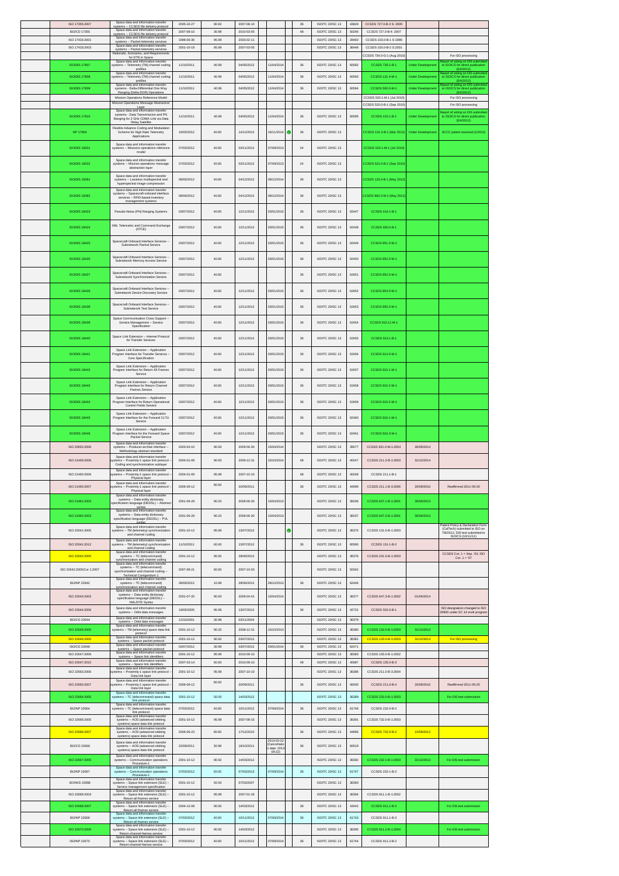| ISO 17355:2007            | Snana data and information transfer<br>systems -- CCSDS file delivery protocol                                        | 2005-10-27       | 90.92 | 2007-08-10 |                          | 36      | ISO/TC 20/SC 13        | 43829 | CCSDS 727.0-B-3 S: 2005    |                          |                                                                                           |
|---------------------------|-----------------------------------------------------------------------------------------------------------------------|------------------|-------|------------|--------------------------|---------|------------------------|-------|----------------------------|--------------------------|-------------------------------------------------------------------------------------------|
| ISO/CD 17355              | Space data and information transfer<br>systems -- CCSDS file delivery protocol                                        | 2007-08-10       | 30.98 | 2010-03-05 |                          | 48      | ISO/TC 20/SC 13        | 50246 | CCSDS 727.0-B-4: 2007      |                          |                                                                                           |
| ISO 17433:2001            | Space data and information transfer<br>systems -- Packet telemetry services                                           | 1998-06-30       | 95.99 | 2003-02-11 |                          |         | ISO/TC 20/SC 13        | 28460 | CCSDS 103.0-B-1 S:1996     |                          |                                                                                           |
| ISO 17433:2003            | Space data and info<br>systems -- Packet telemetry services                                                           | 2001-10-19       | 95.99 | 2007-03-05 |                          |         | ISO/TC 20/SC 13        | 36448 | CCSDS 103.0-B-2 S:2001     |                          |                                                                                           |
|                           | Rationale, Scenarios, and Requirements<br>for DTN in Space                                                            |                  |       |            |                          |         |                        |       | CCSDS 734.0-G-1 (Aug 2010) |                          | For ISO processing                                                                        |
| <b>ISO/DIS 17807</b>      | Space data and information transfer<br>systems -- Telemetry (TM) channel coding                                       | 11/10/2011       | 40.99 | 04/05/2012 | 11/04/2014               | 36      | ISO/TC 20/SC 13        | 60592 | CCSDS 735.1-B-1            | <b>Under Developme</b>   | Report of voting on DIS submitte<br>to ISO/CS for direct publication                      |
| <b>ISO/DIS 17808</b>      | profiles<br>Space data and information transfer<br>systems -- Telemetry (TM) channel coding                           | 11/10/2011       | 40.99 | 04/05/2012 | 11/04/2014               | 36      | ISO/TC 20/SC 13        | 60593 | CCSDS 131.4-M-1            | <b>Under Develop</b>     | (5/4/2012)<br>eport of voting on DIS submitted<br>to ISO/CS for direct publication        |
|                           | profiles<br>Space data and information transfer                                                                       |                  |       |            |                          |         |                        |       |                            |                          | (5/4/2012)<br>Report of voting on DIS submitted<br>to ISO/CS for direct publication       |
| <b>ISO/DIS 17809</b>      | systems - Delta-Differential One Way<br>Ranging (Delta-DOR) Operations                                                | 11/10/2011       | 40.99 | 04/05/2012 | 11/04/2014               | 36      | ISO/TC 20/SC 13        | 60594 | CCSDS 506.0-M-1            | <b>Under Developme</b>   | (5/4/2012)                                                                                |
|                           | Mission Operations Reference Model<br>Mission Operations Message Abstraction                                          |                  |       |            |                          |         |                        |       | CCSDS 520.1-M-1 (Jul 2010) |                          | For ISO processing                                                                        |
|                           | Layer<br>Space data and information transfer                                                                          |                  |       |            |                          |         |                        |       | CCSDS 520.0-B-1 (Sep 2010) |                          | For ISO processing                                                                        |
| <b>ISO/DIS 17810</b>      | systems - Data Transmission and PN<br>Ranging for 2 GHz CDMA Link via Data                                            | 11/10/2011       | 40.99 | 04/05/2012 | 11/04/2014               | 36      | ISO/TC 20/SC 13        | 60595 | CCSDS 415.1-B-1            | <b>Under Developme</b>   | Report of voting on DIS submitted<br>to ISO/CS for direct publication<br>(5/4/2012)       |
|                           | Relay Satellite<br>Flexible Advance Coding and Modulation                                                             |                  |       |            |                          |         |                        |       |                            |                          |                                                                                           |
| NP 17854                  | Scheme for High Rate Telemetry<br>Applications                                                                        | 16/05/2012       | 40.60 | 14/12/2012 | 16/11/2014               | ۰<br>36 | ISO/TC 20/SC 13        |       | CCSDS 131.2-B-1 (Mar 2012) | <b>Under Development</b> | SCCC patent resolved (1/2012)                                                             |
|                           | Space data and information transfer                                                                                   |                  |       |            |                          |         |                        |       |                            |                          |                                                                                           |
| <b>ISO/DIS 18201</b>      | systems -- Missions operations reference<br>model                                                                     | 07/03/2012       | 40.60 | 03/11/2012 | 07/09/2013               | 24      | ISO/TC: 20/SC: 13      |       | CCSDS 520.1-M-1 (Jul 2010) |                          |                                                                                           |
| <b>ISO/DIS 18202</b>      | Space data and information transfer                                                                                   | 07/03/2012       | 40.60 | 03/11/2012 | 07/09/2013               | 24      | ISO/TC: 20/SC: 13      |       | CCSDS 521.0-B-1 (Sep 2010) |                          |                                                                                           |
|                           | systems -- Mission operations message<br>abstraction layer                                                            |                  |       |            |                          |         |                        |       |                            |                          |                                                                                           |
| <b>ISO/DIS 18381</b>      | Space data and information transfer<br>systems -- Lossless multispectral and                                          | 08/06/2012       | 40.60 | 04/12/2012 | 08/12/2014               | 36      | ISO/TC 20/SC 13        |       | CCSDS 123.0-B-1 (May 2012) |                          |                                                                                           |
|                           | hyperspectral image compression                                                                                       |                  |       |            |                          |         |                        |       |                            |                          |                                                                                           |
| <b>ISO/DIS 18382</b>      | Space data and information transfer<br>systems -- Spacecraft onboard interface<br>services -- RFID-based inventory    | 08/06/2012       | 40.60 | 04/12/2012 | 08/12/2014               | 36      | ISO/TC 20/SC 13        |       | CSDS 882.0-M-1 (May 2012   |                          |                                                                                           |
|                           | management systems                                                                                                    |                  |       |            |                          |         |                        |       |                            |                          |                                                                                           |
| <b>ISO/DIS 18423</b>      | Pseudo-Noise (PN) Ranging Systems                                                                                     | 03/07/2012       | 40.60 | 12/11/2012 | 03/01/2015               | 36      | ISO/TC 20/SC 13        | 62447 | CCSDS 414.1-B-1            |                          |                                                                                           |
|                           |                                                                                                                       |                  |       |            |                          |         |                        |       |                            |                          |                                                                                           |
| <b>ISO/DIS 18424</b>      | XML Telemetric and Command Exchange<br>(XTCE)                                                                         | 03/07/2012       | 40.60 | 12/11/2012 | 03/01/2015               | 36      | ISO/TC 20/SC 13        | 62448 | CCSDS 660.0-B-1            |                          |                                                                                           |
|                           | Spacecraft Onboard Interface Services                                                                                 |                  |       |            |                          |         |                        |       |                            |                          |                                                                                           |
| <b>ISO/DIS 18425</b>      | Subnetwork Packet Service                                                                                             | 03/07/2012       | 40.60 | 12/11/2012 | 03/01/2015               | 36      | ISO/TC: 20/SC: 13      | 62449 | CCSDS 851.0-M-1            |                          |                                                                                           |
|                           | Spacecraft Onboard Interface Services                                                                                 |                  |       |            |                          |         |                        |       |                            |                          |                                                                                           |
| <b>ISO/DIS 18426</b>      | Subnetwork Memory Access Service                                                                                      | 03/07/2012       | 40.60 | 12/11/2012 | 03/01/2015               | 36      | <b>ISO/TC 20/SC 13</b> | 62450 | CCSDS 852.0-M-1            |                          |                                                                                           |
| <b>ISO/DIS 18427</b>      | Spacecraft Onboard Interface Services                                                                                 | 03/07/2012       | 40.60 |            |                          | 36      | <b>ISO/TC 20/SC 13</b> | 62451 | CCSDS 852.0-M-1            |                          |                                                                                           |
|                           | Subnetwork Synchronization Service                                                                                    |                  |       |            |                          |         |                        |       |                            |                          |                                                                                           |
| <b>ISO/DIS 18428</b>      | Spacecraft Onboard Interface Services                                                                                 | 03/07/2012       | 40.60 | 12/11/2012 | 03/01/2015               | 36      | ISO/TC 20/SC 13        | 62452 | CCSDS 854.0-M-1            |                          |                                                                                           |
|                           | Subnetwork Device Discovery Service                                                                                   |                  |       |            |                          |         |                        |       |                            |                          |                                                                                           |
| <b>ISO/DIS 18438</b>      | Spacecraft Onboard Interface Services<br>Subnetwork Test Service                                                      | 03/07/2012       | 40.60 | 12/11/2012 | 03/01/2015               | 36      | ISO/TC 20/SC 13        | 62453 | CCSDS 855.0-M-1            |                          |                                                                                           |
|                           |                                                                                                                       |                  |       |            |                          |         |                        |       |                            |                          |                                                                                           |
| <b>ISO/DIS 18439</b>      | Space Communication Cross Support<br>Service Management -- Service<br>Specification                                   | 03/07/2012       | 40.60 | 12/11/2012 | 03/01/2015               | 36      | ISO/TC 20/SC 13        | 62454 | CCSDS 910.11-M-1           |                          |                                                                                           |
|                           |                                                                                                                       |                  |       |            |                          |         |                        |       |                            |                          |                                                                                           |
| <b>ISO/DIS 18440</b>      | Space Link Extension -- Internet Protoco<br>for Transfer Services                                                     | 03/07/2012       | 40.60 | 12/11/2012 | 03/01/2015               | 36      | <b>ISO/TC 20/SC 13</b> | 62455 | CCSDS 913.1-B-1            |                          |                                                                                           |
|                           | Space Link Extension -- Application                                                                                   |                  |       |            |                          |         |                        |       |                            |                          |                                                                                           |
| <b>ISO/DIS 18441</b>      | Program Interface for Transfer Services<br>Core Specification                                                         | 03/07/2012       | 40.60 | 12/11/2012 | 03/01/2015               | 36      | <b>ISO/TC 20/SC 13</b> | 62456 | CCSDS 914.0-M-1            |                          |                                                                                           |
|                           | Space Link Extension -- Application                                                                                   |                  |       |            |                          |         |                        |       |                            |                          |                                                                                           |
| <b>ISO/DIS 18442</b>      | Program Interface for Return All Frames<br>Service                                                                    | 03/07/2012       | 40.60 | 12/11/2012 | 03/01/2015               | 36      | ISO/TC 20/SC 13        | 62457 | CCSDS 915.1-M-1            |                          |                                                                                           |
| <b>ISO/DIS 18443</b>      | Space Link Extension -- Application<br>Program Interface for Return Channel                                           | 03/07/2012       | 40.60 | 12/11/2012 | 03/01/2015               | 36      | ISO/TC 20/SC 13        | 62458 | CCSDS 915.2-M-1            |                          |                                                                                           |
|                           | Frames Service                                                                                                        |                  |       |            |                          |         |                        |       |                            |                          |                                                                                           |
| <b>ISO/DIS 18444</b>      | Space Link Extension -- Application<br>Program Interface for Return Operational                                       | 03/07/2012       | 40.60 | 12/11/2012 | 03/01/2015               | 36      | ISO/TC 20/SC 13        | 62459 | CCSDS 915.5-M-1            |                          |                                                                                           |
|                           | Control Fields Service                                                                                                |                  |       |            |                          |         |                        |       |                            |                          |                                                                                           |
| <b>ISO/DIS 18445</b>      | Space Link Extension -- Application<br>Program Interface for the Forward CLTU<br>Service                              | 03/07/2012       | 40.60 | 12/11/2012 | 03/01/2015               | 36      | ISO/TC 20/SC 13        | 62460 | CCSDS 916.1-M-1            |                          |                                                                                           |
|                           | Space Link Extension -- Application                                                                                   |                  |       |            |                          |         |                        |       |                            |                          |                                                                                           |
| <b>ISO/DIS 18446</b>      | Program Interface for the Forward Space<br>Packet Service                                                             | 03/07/2012       | 40.60 | 12/11/2012 | 03/01/2015               | 36      | ISO/TC: 20/SC: 13      | 62461 | CCSDS 916.3-M-1            |                          |                                                                                           |
| ISO 20652:2006            | Space data and information transfer<br>systems -- Producer-archive interface -                                        | 2003-04-10       | 90.93 | 2009-06-30 | 15/04/2014               |         | ISO/TC 20/SC 13        | 39577 | CCSDS 651.0-M-1:2004       | 30/06/2014               |                                                                                           |
|                           | Methodology abstract standard                                                                                         |                  |       |            |                          |         |                        |       |                            |                          |                                                                                           |
| ISO 21459:2006            | Space data and information transfer<br>tems -- Proximity-1 space link protocol<br>Coding and synchronization sublayer | 2004-01-09       | 90.93 | 2009-12-31 | 15/10/2014               | 48      | ISO/TC 20/SC 13        | 40247 | CCSDS 211.2-B-1:2003       | 31/12/2014               |                                                                                           |
|                           | Space data and information transfer                                                                                   |                  |       |            |                          |         |                        |       |                            |                          |                                                                                           |
| ISO 21460:2006            | stems -- Proximity-1 space link protocol<br>Physical layer                                                            | 2004-01-09       | 95.99 | 2007-10-10 |                          | 48      | ISO/TC: 20/SC: 13      | 40248 | CCSDS 211.1-B-1            |                          |                                                                                           |
| ISO 21460-2007            | Space data and information transfer<br>stems -- Proximity-1 space link protocol -<br>Physical layer                   | 2006-09-12       | 90.93 | 20/09/2011 |                          | 36      | ISO/TC 20/SC 13        | 44999 | CCSDS 211 1-B-3:2006       | 2009/2016                | Reaffirmed 2011-09-20                                                                     |
|                           | Space data and information transfer                                                                                   |                  |       |            |                          |         |                        |       |                            |                          |                                                                                           |
| ISO 21961:2003            | systems -- Data entity dictionary<br>specification language (DEDSL) -- Abstra                                         | 2001-06-29       | 90.20 | 2008-06-30 | 15/04/2013               |         | ISO/TC 20/SC 13        | 36036 | CCSDS 647.1-B-1:2001       | 30/06/2013               |                                                                                           |
|                           | syntax<br>Space data and information transfer<br>systems - Data entity dictionary                                     |                  |       |            |                          |         |                        |       |                            |                          |                                                                                           |
| ISO 21962:2003            | specification language (DEDSL) -- PVL                                                                                 | 2001-06-29       | 90.20 | 2008-06-30 | 15/04/2013               |         | ISO/TC 20/SC 13        | 36037 | CCSDS 647.2-B-1:2001       | 30/06/2013               |                                                                                           |
| ISO 22641:2005            | Space data and information transfer<br>ystems -- TM (telemetry) synchronizatio                                        | 2001-10-12       | 95.99 | 13/07/2012 |                          | ۰       | ISO/TC 20/SC 13        | 36375 | CCSDS 131.0-B-1:2003       |                          | atent Policy & Declaration Form<br>(CalTech) submitted to ISO on                          |
|                           | and channel coding                                                                                                    |                  |       |            |                          |         |                        |       |                            |                          | 7/8/2011; DIS text submitted to<br>ISO/CS (10/11/11)                                      |
| ISO 22641-2012            | Space data and information transfer<br>vstems -- TM (telemetry) synchronizatio<br>and channel coding                  | 11/10/2011       | 60.60 | 13/07/2012 |                          |         |                        |       | CCSDS 131.1-B-2            |                          |                                                                                           |
| ISO 22642:2005            | Space data and information transfer<br>systems -- TC (telecommand)                                                    | 2001-10-12       |       |            |                          | 36      | ISO/TC 20/SC 13        | 60590 |                            |                          |                                                                                           |
|                           |                                                                                                                       |                  | 90.92 | 28/06/2012 |                          |         | ISO/TC 20/SC 13        | 36376 | CCSDS 231.0-B-1:2003       |                          |                                                                                           |
| ISO 22642:2005/Cor 1:2007 | synchronization and channel codin<br>Space data and information transfe                                               |                  |       |            |                          |         |                        |       |                            |                          | $\begin{array}{c} \text{CCSDS Cor. 1 = Sep. '03; ISO} \\ \text{Cor. 1 = '07} \end{array}$ |
|                           | systems -- TC (telecommand)<br>synchronization and channel coding                                                     | 2007-08-21       | 60.60 | 2007-10-03 |                          |         | ISO/TC: 20/SC: 13      | 50342 |                            |                          |                                                                                           |
|                           | Technical Corrigendum 1<br>Space data and inform<br>ation transfe                                                     |                  |       |            |                          |         |                        |       |                            |                          |                                                                                           |
| <b>ISO/NP 22642</b>       | systems -- TC (telecommand)<br>ynchronization and channel coding<br>Space data and information transfer               | 28/06/2012       | 10.99 | 28/06/2012 | 28/12/2013               | 36      | ISO/TC 20/SC 13        | 62446 |                            |                          |                                                                                           |
| ISO 22643:2003            | systems -- Data entity dictionary<br>specification language (DEDSL) --                                                | 2001-07-20       | 90.93 | 2009-04-01 | 15/04/2014               |         | ISO/TC 20/SC 13        | 36377 | CCSDS 647.3-B-1:2002       | 01/04/2014               |                                                                                           |
|                           | XML/DTD Syntax<br>Space data and information transfer                                                                 |                  |       |            |                          |         |                        |       |                            |                          | ISO designation changed to ISO                                                            |
| ISO 22644:2006            | systems -- Orbit data messages<br>Space data and information transfer                                                 | 19/05/2005       | 95.99 | 13/07/2012 |                          | $36\,$  | ISO/TC 20/SC 13        | 42722 | CCSDS 502.0-B-1            |                          | 26900 under SC 14 work program                                                            |
| ISO/CD 22644              | systems -- Orbit data messages<br>Space data and information transfer                                                 | 12/10/2001       | 30.98 | 03/11/2004 |                          |         | ISO/TC 20/SC 13        | 36379 |                            |                          |                                                                                           |
| ISO 22645:2005            | systems -- TM (telemetry) space data link<br>protocol                                                                 | 2001-10-12       | 90.20 | 2008-12-31 | 15/10/2013               |         | ISO/TC 20/SC 13        | 36380 | CCSDS 132.0-B-1:2003       | 31/12/2013               |                                                                                           |
| ISO 22646:2005            | Space data and information transfer<br>systems -- Space packet protocol                                               | 2001-10-12       | 90.92 | 03/07/2012 |                          |         | ISO/TC 20/SC 13        | 36381 | CCSDS 133.0-B-1:2003       | 31/12/3013               | For ISO processing                                                                        |
| ISO/CD 22646              | Space data and information transfer<br>systems -- Space packet protocol                                               | 03/07/2012       | 30.99 | 03/07/2012 | 03/01/2014               | 36      | ISO/TC 20/SC 13        | 62471 |                            |                          |                                                                                           |
| ISO 22647:2006            | Space data and information transfer<br>systems - Space link identifiers                                               | 2001-10-12       | 95.99 | 2010-09-10 |                          |         | ISO/TC 20/SC 13        | 36383 | CCSDS 135.0-B-1:2002       |                          |                                                                                           |
| ISO 22647:2010            | Space data and information transfer<br>systems -- Space link identifiers<br>Space data and information transfer       | 2007-03-14       | 60.60 | 2010-09-10 |                          | 48      | ISO/TC 20/SC 13        | 45987 | CCSDS 135.0-B-3            |                          |                                                                                           |
| ISO 22663:2006            | ystems -- Proximity-1 space link protoco<br>Data link layer                                                           | 2001-10-12       | 95.99 | 2007-10-10 |                          |         | ISO/TC 20/SC 13        | 36386 | CCSDS 211.0-B-3:2004       |                          |                                                                                           |
| ISO 22663:2007            | Space data and information transfer<br>stems -- Proximity-1 space link protoco                                        | 2006-09-12       | 90.93 | 20/09/2011 |                          | 36      | ISO/TC 20/SC 13        | 45000 | CCSDS 211.0-B-4            | 20/09/2016               | Reaffirmed 2011-09-20                                                                     |
|                           | Data link layer<br>Space data and information transfer                                                                |                  |       |            |                          |         |                        |       |                            |                          |                                                                                           |
| ISO 22664:2005            | systems -- TC (telecommand) space data                                                                                | $2001 - 10 - 12$ | 50.00 | 14/03/2012 |                          |         | ISO/TC 20/SC 13        | 36389 | CCSDS 232.0-B-1:2003       |                          | For DIS text submission                                                                   |
| <b>ISO/NP 22664</b>       | link protocol<br>Space data and information transfer<br>systems -- TC (telecommand) space data<br>link protocol       | 07/03/2012       | 40.60 | 10/11/2012 | 07/09/2014               | 36      | ISO/TC 20/SC 13        | 61746 | CCSDS 232.0-B-2            |                          |                                                                                           |
| ISO 22666:2005            | Space data and information transfer<br>systems -- AOS (advanced orbiting                                              | 2001-10-12       | 95.99 | 2007-08-15 |                          |         | ISO/TC 20/SC 13        | 36391 | CCSDS 732.0-B-1:2003       |                          |                                                                                           |
|                           | systems) space data link protoco<br>Space data and information transfer                                               |                  |       |            |                          |         |                        |       |                            |                          |                                                                                           |
| ISO 22666:2007            | systems -- AOS (advanced orbiting<br>systems) space data link protocol                                                | 2006-06-23       | 90.60 | 17/12/2010 |                          | $36\,$  | ISO/TC 20/SC 13        | 44866 | CCSDS 732.0-B-2            | 15/08/2012               |                                                                                           |
| <b>ISO/CD 22666</b>       | Space data and information transfer<br>systems -- AOS (advanced orbiting                                              | 22/09/2011       | 30.98 | 18/10/2011 | 2013-03-22<br>Cancellati | 36      | ISO/TC 20/SC 13        | 60519 |                            |                          |                                                                                           |
|                           | systems) space data link protocol                                                                                     |                  |       |            | date: 201<br>$09 - 22$   |         |                        |       |                            |                          |                                                                                           |
| ISO 22667:2005            | Space data and information transfer<br>systems -- Communication operations                                            | 2001-10-12       | 90.92 | 14/03/2012 |                          |         | ISO/TC 20/SC 13        | 36392 | CCSDS 232.1-B-1:2003       | 31/12/2013               | For DIS text submission                                                                   |
| <b>ISO/NP 22667</b>       | Procedure-1<br>Space data and information transfer<br>systems -- Communication operations                             | 07/03/2012       | 50.00 | 07/03/2013 | 07/09/2014               | 36      | ISO/TC 20/SC 13        | 61747 | CCSDS 232.1-B-2            |                          |                                                                                           |
|                           | Procedure-1<br>Space data and information transfe                                                                     |                  |       |            |                          |         |                        |       |                            |                          |                                                                                           |
| <b>ISO/WD 22668</b>       | systems -- Space link extension (SLE) -<br>Service management specification                                           | 2001-10-12       | 50.00 | 07/03/2007 |                          |         | ISO/TC 20/SC 13        | 36393 |                            |                          |                                                                                           |
| ISO 22669:2003            | Space data and information transfer<br>systems -- Space link extension (SLE) -                                        | 2001-10-12       | 95.99 | 2007-01-26 |                          |         | ISO/TC 20/SC 13        | 36394 | CCSDS 911.1-B-1:2002       |                          |                                                                                           |
| ISO 22669:2007            | Return-all-frames service<br>Space data and information tra<br>transfe<br>systems -- Space link extension (SLE) -     | 2004-12-08       | 90.92 | 14/03/2012 |                          | 36      | ISO/TC 20/SC 13        | 43442 | CCSDS 911.1-B-2            |                          | For DIS text submission                                                                   |
|                           | Return-all-frames service<br>Space data and information transfer                                                      |                  |       |            |                          |         |                        |       |                            |                          |                                                                                           |
| ISO/NP 22669              | ms -- Space link extension (SLE) -<br>syste<br>Return-all-frames service                                              | 07/03/2012       | 40.60 | 10/11/2012 | 07/09/2014               | $36\,$  | <b>ISO/TC 20/SC 13</b> | 61743 | CCSDS 911.1-B-3            |                          |                                                                                           |
| ISO 22670:2006            | Space data and information transfer<br>systems -- Space link extension (SLE) -<br>Return-channel-frames service       | 2001-10-12       | 90.92 | 14/03/2012 |                          |         | ISO/TC 20/SC 13        | 36395 | CCSDS 911.2-B-1:2004       |                          | For DIS text submission                                                                   |
| <b>ISO/NP 22670</b>       | Space data and information transfer<br>systems -- Space link extension (SLE) -<br>Return-channel-frames service       | 07/03/2012       | 40.60 | 10/11/2012 | 07/09/2014               | $36\,$  | ISO/TC 20/SC 13        | 61744 | CCSDS 911.2-B-2            |                          |                                                                                           |